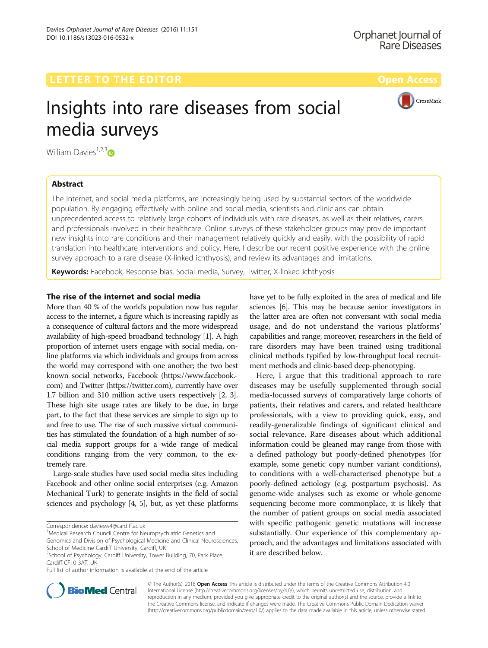CrossMark

# Insights into rare diseases from social media surveys

William Davies $1,2,3$  $1,2,3$ 

# Abstract

The internet, and social media platforms, are increasingly being used by substantial sectors of the worldwide population. By engaging effectively with online and social media, scientists and clinicians can obtain unprecedented access to relatively large cohorts of individuals with rare diseases, as well as their relatives, carers and professionals involved in their healthcare. Online surveys of these stakeholder groups may provide important new insights into rare conditions and their management relatively quickly and easily, with the possibility of rapid translation into healthcare interventions and policy. Here, I describe our recent positive experience with the online survey approach to a rare disease (X-linked ichthyosis), and review its advantages and limitations.

Keywords: Facebook, Response bias, Social media, Survey, Twitter, X-linked ichthyosis

# The rise of the internet and social media

More than 40 % of the world's population now has regular access to the internet, a figure which is increasing rapidly as a consequence of cultural factors and the more widespread availability of high-speed broadband technology [[1](#page-3-0)]. A high proportion of internet users engage with social media, online platforms via which individuals and groups from across the world may correspond with one another; the two best known social networks, Facebook ([https://www.facebook.](https://www.facebook.com) [com\)](https://www.facebook.com) and Twitter (<https://twitter.com>), currently have over 1.7 billion and 310 million active users respectively [\[2, 3](#page-4-0)]. These high site usage rates are likely to be due, in large part, to the fact that these services are simple to sign up to and free to use. The rise of such massive virtual communities has stimulated the foundation of a high number of social media support groups for a wide range of medical conditions ranging from the very common, to the extremely rare.

Large-scale studies have used social media sites including Facebook and other online social enterprises (e.g. Amazon Mechanical Turk) to generate insights in the field of social sciences and psychology [\[4, 5\]](#page-4-0), but, as yet these platforms

<sup>1</sup> Medical Research Council Centre for Neuropsychiatric Genetics and

have yet to be fully exploited in the area of medical and life sciences [\[6](#page-4-0)]. This may be because senior investigators in the latter area are often not conversant with social media usage, and do not understand the various platforms' capabilities and range; moreover, researchers in the field of rare disorders may have been trained using traditional clinical methods typified by low-throughput local recruitment methods and clinic-based deep-phenotyping.

Here, I argue that this traditional approach to rare diseases may be usefully supplemented through social media-focussed surveys of comparatively large cohorts of patients, their relatives and carers, and related healthcare professionals, with a view to providing quick, easy, and readily-generalizable findings of significant clinical and social relevance. Rare diseases about which additional information could be gleaned may range from those with a defined pathology but poorly-defined phenotypes (for example, some genetic copy number variant conditions), to conditions with a well-characterised phenotype but a poorly-defined aetiology (e.g. postpartum psychosis). As genome-wide analyses such as exome or whole-genome sequencing become more commonplace, it is likely that the number of patient groups on social media associated with specific pathogenic genetic mutations will increase substantially. Our experience of this complementary approach, and the advantages and limitations associated with it are described below.



© The Author(s). 2016 Open Access This article is distributed under the terms of the Creative Commons Attribution 4.0 International License [\(http://creativecommons.org/licenses/by/4.0/](http://creativecommons.org/licenses/by/4.0/)), which permits unrestricted use, distribution, and reproduction in any medium, provided you give appropriate credit to the original author(s) and the source, provide a link to the Creative Commons license, and indicate if changes were made. The Creative Commons Public Domain Dedication waiver [\(http://creativecommons.org/publicdomain/zero/1.0/](http://creativecommons.org/publicdomain/zero/1.0/)) applies to the data made available in this article, unless otherwise stated.

Correspondence: [daviesw4@cardiff.ac.uk](mailto:daviesw4@cardiff.ac.uk) <sup>1</sup>

Genomics and Division of Psychological Medicine and Clinical Neurosciences, School of Medicine Cardiff University, Cardiff, UK

<sup>&</sup>lt;sup>2</sup>School of Psychology, Cardiff University, Tower Building, 70, Park Place, Cardiff CF10 3AT, UK

Full list of author information is available at the end of the article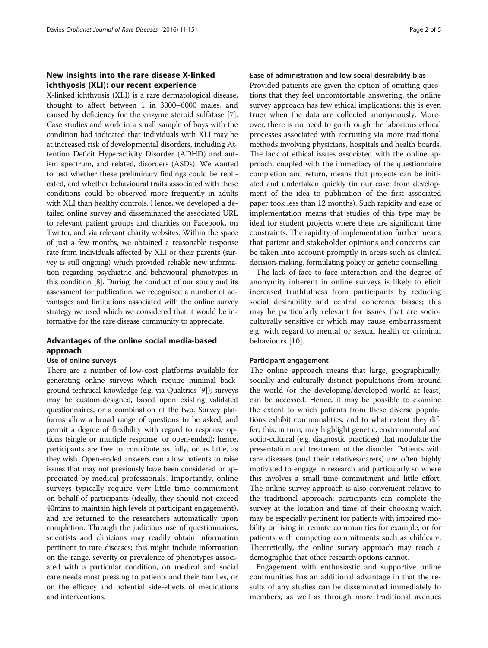# New insights into the rare disease X-linked ichthyosis (XLI): our recent experience

X-linked ichthyosis (XLI) is a rare dermatological disease, thought to affect between 1 in 3000–6000 males, and caused by deficiency for the enzyme steroid sulfatase [[7](#page-4-0)]. Case studies and work in a small sample of boys with the condition had indicated that individuals with XLI may be at increased risk of developmental disorders, including Attention Deficit Hyperactivity Disorder (ADHD) and autism spectrum, and related, disorders (ASDs). We wanted to test whether these preliminary findings could be replicated, and whether behavioural traits associated with these conditions could be observed more frequently in adults with XLI than healthy controls. Hence, we developed a detailed online survey and disseminated the associated URL to relevant patient groups and charities on Facebook, on Twitter, and via relevant charity websites. Within the space of just a few months, we obtained a reasonable response rate from individuals affected by XLI or their parents (survey is still ongoing) which provided reliable new information regarding psychiatric and behavioural phenotypes in this condition [\[8](#page-4-0)]. During the conduct of our study and its assessment for publication, we recognised a number of advantages and limitations associated with the online survey strategy we used which we considered that it would be informative for the rare disease community to appreciate.

# Advantages of the online social media-based approach

#### Use of online surveys

There are a number of low-cost platforms available for generating online surveys which require minimal background technical knowledge (e.g. via Qualtrics [[9](#page-4-0)]); surveys may be custom-designed, based upon existing validated questionnaires, or a combination of the two. Survey platforms allow a broad range of questions to be asked, and permit a degree of flexibility with regard to response options (single or multiple response, or open-ended); hence, participants are free to contribute as fully, or as little, as they wish. Open-ended answers can allow patients to raise issues that may not previously have been considered or appreciated by medical professionals. Importantly, online surveys typically require very little time commitment on behalf of participants (ideally, they should not exceed 40mins to maintain high levels of participant engagement), and are returned to the researchers automatically upon completion. Through the judicious use of questionnaires, scientists and clinicians may readily obtain information pertinent to rare diseases; this might include information on the range, severity or prevalence of phenotypes associated with a particular condition, on medical and social care needs most pressing to patients and their families, or on the efficacy and potential side-effects of medications and interventions.

# Ease of administration and low social desirability bias

Provided patients are given the option of omitting questions that they feel uncomfortable answering, the online survey approach has few ethical implications; this is even truer when the data are collected anonymously. Moreover, there is no need to go through the laborious ethical processes associated with recruiting via more traditional methods involving physicians, hospitals and health boards. The lack of ethical issues associated with the online approach, coupled with the immediacy of the questionnaire completion and return, means that projects can be initiated and undertaken quickly (in our case, from development of the idea to publication of the first associated paper took less than 12 months). Such rapidity and ease of implementation means that studies of this type may be ideal for student projects where there are significant time constraints. The rapidity of implementation further means that patient and stakeholder opinions and concerns can be taken into account promptly in areas such as clinical decision-making, formulating policy or genetic counselling.

The lack of face-to-face interaction and the degree of anonymity inherent in online surveys is likely to elicit increased truthfulness from participants by reducing social desirability and central coherence biases; this may be particularly relevant for issues that are socioculturally sensitive or which may cause embarrassment e.g. with regard to mental or sexual health or criminal behaviours [[10](#page-4-0)].

#### Participant engagement

The online approach means that large, geographically, socially and culturally distinct populations from around the world (or the developing/developed world at least) can be accessed. Hence, it may be possible to examine the extent to which patients from these diverse populations exhibit commonalities, and to what extent they differ; this, in turn, may highlight genetic, environmental and socio-cultural (e.g. diagnostic practices) that modulate the presentation and treatment of the disorder. Patients with rare diseases (and their relatives/carers) are often highly motivated to engage in research and particularly so where this involves a small time commitment and little effort. The online survey approach is also convenient relative to the traditional approach: participants can complete the survey at the location and time of their choosing which may be especially pertinent for patients with impaired mobility or living in remote communities for example, or for patients with competing commitments such as childcare. Theoretically, the online survey approach may reach a demographic that other research options cannot.

Engagement with enthusiastic and supportive online communities has an additional advantage in that the results of any studies can be disseminated immediately to members, as well as through more traditional avenues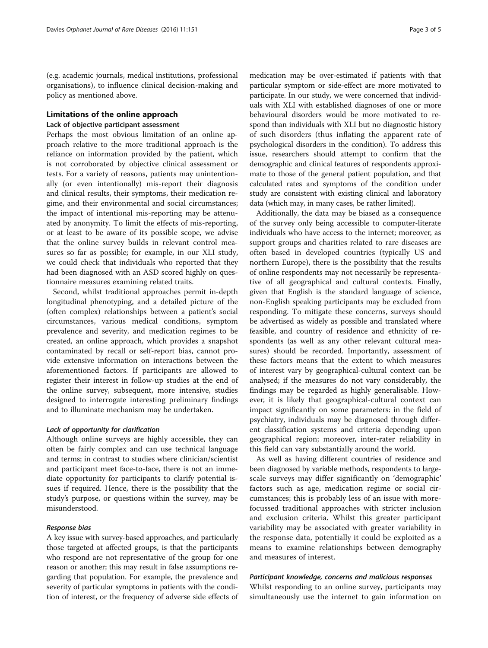(e.g. academic journals, medical institutions, professional organisations), to influence clinical decision-making and policy as mentioned above.

# Limitations of the online approach Lack of objective participant assessment

# Perhaps the most obvious limitation of an online approach relative to the more traditional approach is the reliance on information provided by the patient, which is not corroborated by objective clinical assessment or tests. For a variety of reasons, patients may unintentionally (or even intentionally) mis-report their diagnosis and clinical results, their symptoms, their medication regime, and their environmental and social circumstances; the impact of intentional mis-reporting may be attenuated by anonymity. To limit the effects of mis-reporting, or at least to be aware of its possible scope, we advise that the online survey builds in relevant control measures so far as possible; for example, in our XLI study, we could check that individuals who reported that they had been diagnosed with an ASD scored highly on questionnaire measures examining related traits.

Second, whilst traditional approaches permit in-depth longitudinal phenotyping, and a detailed picture of the (often complex) relationships between a patient's social circumstances, various medical conditions, symptom prevalence and severity, and medication regimes to be created, an online approach, which provides a snapshot contaminated by recall or self-report bias, cannot provide extensive information on interactions between the aforementioned factors. If participants are allowed to register their interest in follow-up studies at the end of the online survey, subsequent, more intensive, studies designed to interrogate interesting preliminary findings and to illuminate mechanism may be undertaken.

### Lack of opportunity for clarification

Although online surveys are highly accessible, they can often be fairly complex and can use technical language and terms; in contrast to studies where clinician/scientist and participant meet face-to-face, there is not an immediate opportunity for participants to clarify potential issues if required. Hence, there is the possibility that the study's purpose, or questions within the survey, may be misunderstood.

### Response bias

A key issue with survey-based approaches, and particularly those targeted at affected groups, is that the participants who respond are not representative of the group for one reason or another; this may result in false assumptions regarding that population. For example, the prevalence and severity of particular symptoms in patients with the condition of interest, or the frequency of adverse side effects of

medication may be over-estimated if patients with that particular symptom or side-effect are more motivated to participate. In our study, we were concerned that individuals with XLI with established diagnoses of one or more behavioural disorders would be more motivated to respond than individuals with XLI but no diagnostic history of such disorders (thus inflating the apparent rate of psychological disorders in the condition). To address this issue, researchers should attempt to confirm that the demographic and clinical features of respondents approximate to those of the general patient population, and that calculated rates and symptoms of the condition under study are consistent with existing clinical and laboratory data (which may, in many cases, be rather limited).

Additionally, the data may be biased as a consequence of the survey only being accessible to computer-literate individuals who have access to the internet; moreover, as support groups and charities related to rare diseases are often based in developed countries (typically US and northern Europe), there is the possibility that the results of online respondents may not necessarily be representative of all geographical and cultural contexts. Finally, given that English is the standard language of science, non-English speaking participants may be excluded from responding. To mitigate these concerns, surveys should be advertised as widely as possible and translated where feasible, and country of residence and ethnicity of respondents (as well as any other relevant cultural measures) should be recorded. Importantly, assessment of these factors means that the extent to which measures of interest vary by geographical-cultural context can be analysed; if the measures do not vary considerably, the findings may be regarded as highly generalisable. However, it is likely that geographical-cultural context can impact significantly on some parameters: in the field of psychiatry, individuals may be diagnosed through different classification systems and criteria depending upon geographical region; moreover, inter-rater reliability in this field can vary substantially around the world.

As well as having different countries of residence and been diagnosed by variable methods, respondents to largescale surveys may differ significantly on 'demographic' factors such as age, medication regime or social circumstances; this is probably less of an issue with morefocussed traditional approaches with stricter inclusion and exclusion criteria. Whilst this greater participant variability may be associated with greater variability in the response data, potentially it could be exploited as a means to examine relationships between demography and measures of interest.

### Participant knowledge, concerns and malicious responses

Whilst responding to an online survey, participants may simultaneously use the internet to gain information on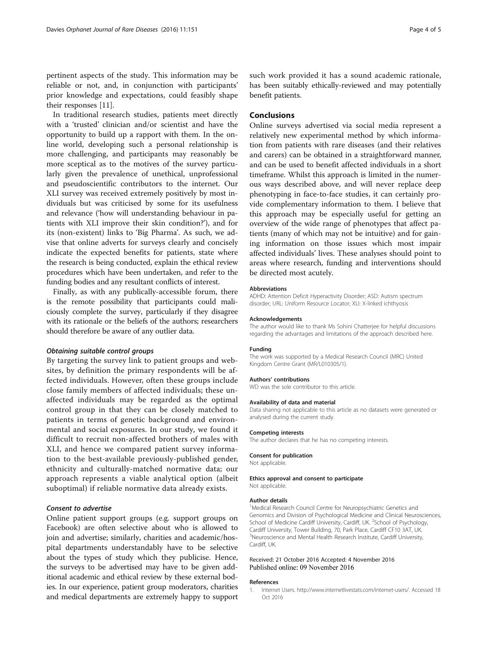<span id="page-3-0"></span>pertinent aspects of the study. This information may be reliable or not, and, in conjunction with participants' prior knowledge and expectations, could feasibly shape their responses [\[11](#page-4-0)].

In traditional research studies, patients meet directly with a 'trusted' clinician and/or scientist and have the opportunity to build up a rapport with them. In the online world, developing such a personal relationship is more challenging, and participants may reasonably be more sceptical as to the motives of the survey particularly given the prevalence of unethical, unprofessional and pseudoscientific contributors to the internet. Our XLI survey was received extremely positively by most individuals but was criticised by some for its usefulness and relevance ('how will understanding behaviour in patients with XLI improve their skin condition?'), and for its (non-existent) links to 'Big Pharma'. As such, we advise that online adverts for surveys clearly and concisely indicate the expected benefits for patients, state where the research is being conducted, explain the ethical review procedures which have been undertaken, and refer to the funding bodies and any resultant conflicts of interest.

Finally, as with any publically-accessible forum, there is the remote possibility that participants could maliciously complete the survey, particularly if they disagree with its rationale or the beliefs of the authors; researchers should therefore be aware of any outlier data.

#### Obtaining suitable control groups

By targeting the survey link to patient groups and websites, by definition the primary respondents will be affected individuals. However, often these groups include close family members of affected individuals; these unaffected individuals may be regarded as the optimal control group in that they can be closely matched to patients in terms of genetic background and environmental and social exposures. In our study, we found it difficult to recruit non-affected brothers of males with XLI, and hence we compared patient survey information to the best-available previously-published gender, ethnicity and culturally-matched normative data; our approach represents a viable analytical option (albeit suboptimal) if reliable normative data already exists.

## Consent to advertise

Online patient support groups (e.g. support groups on Facebook) are often selective about who is allowed to join and advertise; similarly, charities and academic/hospital departments understandably have to be selective about the types of study which they publicise. Hence, the surveys to be advertised may have to be given additional academic and ethical review by these external bodies. In our experience, patient group moderators, charities and medical departments are extremely happy to support such work provided it has a sound academic rationale, has been suitably ethically-reviewed and may potentially benefit patients.

# Conclusions

Online surveys advertised via social media represent a relatively new experimental method by which information from patients with rare diseases (and their relatives and carers) can be obtained in a straightforward manner, and can be used to benefit affected individuals in a short timeframe. Whilst this approach is limited in the numerous ways described above, and will never replace deep phenotyping in face-to-face studies, it can certainly provide complementary information to them. I believe that this approach may be especially useful for getting an overview of the wide range of phenotypes that affect patients (many of which may not be intuitive) and for gaining information on those issues which most impair affected individuals' lives. These analyses should point to areas where research, funding and interventions should be directed most acutely.

#### Abbreviations

ADHD: Attention Deficit Hyperactivity Disorder; ASD: Autism spectrum disorder; URL: Uniform Resource Locator; XLI: X-linked ichthyosis

#### Acknowledgements

The author would like to thank Ms Sohini Chatterjee for helpful discussions regarding the advantages and limitations of the approach described here.

#### Funding

The work was supported by a Medical Research Council (MRC) United Kingdom Centre Grant (MR/L010305/1).

#### Authors' contributions

WD was the sole contributor to this article.

#### Availability of data and material

Data sharing not applicable to this article as no datasets were generated or analysed during the current study.

#### Competing interests The author declares that he has no competing interests.

Consent for publication

Not applicable.

### Ethics approval and consent to participate

Not applicable.

#### Author details

<sup>1</sup>Medical Research Council Centre for Neuropsychiatric Genetics and Genomics and Division of Psychological Medicine and Clinical Neurosciences, School of Medicine Cardiff University, Cardiff, UK. <sup>2</sup>School of Psychology, Cardiff University, Tower Building, 70, Park Place, Cardiff CF10 3AT, UK. <sup>3</sup>Neuroscience and Mental Health Research Institute, Cardiff University Cardiff, UK.

#### Received: 21 October 2016 Accepted: 4 November 2016 Published online: 09 November 2016

#### References

1. Internet Users.<http://www.internetlivestats.com/internet-users/>. Accessed 18 Oct 2016